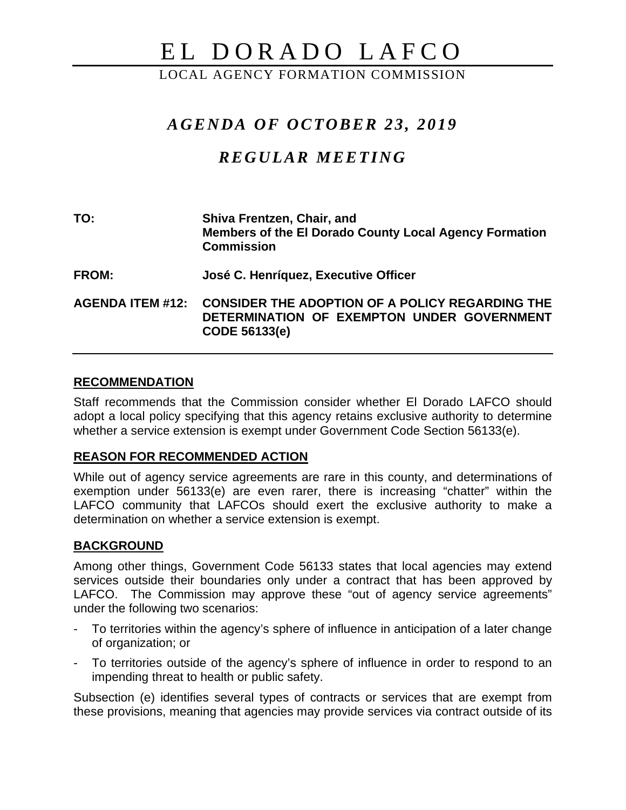# EL DORADO LAFCO

LOCAL AGENCY FORMATION COMMISSION

## *AGENDA OF OCTOBER 23 , 2019*

# *REGULAR MEETING*

| TO:              | Shiva Frentzen, Chair, and<br>Members of the El Dorado County Local Agency Formation<br><b>Commission</b>             |
|------------------|-----------------------------------------------------------------------------------------------------------------------|
| <b>FROM:</b>     | José C. Henríquez, Executive Officer                                                                                  |
| AGENDA ITEM #12: | <b>CONSIDER THE ADOPTION OF A POLICY REGARDING THE</b><br>DETERMINATION OF EXEMPTON UNDER GOVERNMENT<br>CODE 56133(e) |

#### **RECOMMENDATION**

Staff recommends that the Commission consider whether El Dorado LAFCO should adopt a local policy specifying that this agency retains exclusive authority to determine whether a service extension is exempt under Government Code Section 56133(e).

#### **REASON FOR RECOMMENDED ACTION**

While out of agency service agreements are rare in this county, and determinations of exemption under 56133(e) are even rarer, there is increasing "chatter" within the LAFCO community that LAFCOs should exert the exclusive authority to make a determination on whether a service extension is exempt.

## **BACKGROUND**

Among other things, Government Code 56133 states that local agencies may extend services outside their boundaries only under a contract that has been approved by LAFCO. The Commission may approve these "out of agency service agreements" under the following two scenarios:

- To territories within the agency's sphere of influence in anticipation of a later change of organization; or
- To territories outside of the agency's sphere of influence in order to respond to an impending threat to health or public safety.

Subsection (e) identifies several types of contracts or services that are exempt from these provisions, meaning that agencies may provide services via contract outside of its